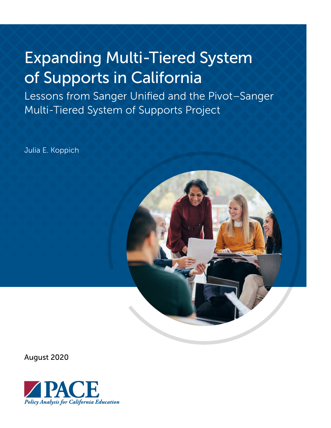# Expanding Multi-Tiered System of Supports in California

Lessons from Sanger Unified and the Pivot–Sanger Multi-Tiered System of Supports Project

Julia E. Koppich



August 2020

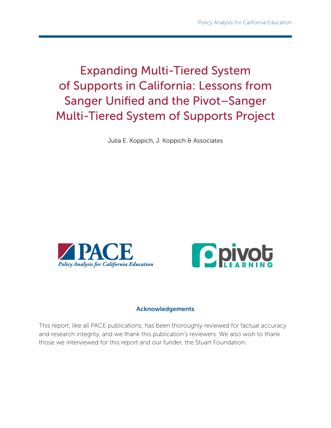Expanding Multi-Tiered System of Supports in California: Lessons from Sanger Unified and the Pivot–Sanger Multi-Tiered System of Supports Project

Julia E. Koppich, J. Koppich & Associates





#### Acknowledgements

This report, like all PACE publications, has been thoroughly reviewed for factual accuracy and research integrity, and we thank this publication's reviewers. We also wish to thank those we interviewed for this report and our funder, the Stuart Foundation.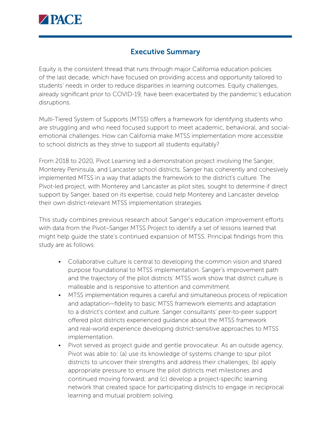

## Executive Summary

Equity is the consistent thread that runs through major California education policies of the last decade, which have focused on providing access and opportunity tailored to students' needs in order to reduce disparities in learning outcomes. Equity challenges, already significant prior to COVID-19, have been exacerbated by the pandemic's education disruptions.

Multi-Tiered System of Supports (MTSS) offers a framework for identifying students who are struggling and who need focused support to meet academic, behavioral, and socialemotional challenges. How can California make MTSS implementation more accessible to school districts as they strive to support all students equitably?

From 2018 to 2020, Pivot Learning led a demonstration project involving the Sanger, Monterey Peninsula, and Lancaster school districts. Sanger has coherently and cohesively implemented MTSS in a way that adapts the framework to the district's culture. The Pivot-led project, with Monterey and Lancaster as pilot sites, sought to determine if direct support by Sanger, based on its expertise, could help Monterey and Lancaster develop their own district-relevant MTSS implementation strategies.

This study combines previous research about Sanger's education improvement efforts with data from the Pivot–Sanger MTSS Project to identify a set of lessons learned that might help guide the state's continued expansion of MTSS. Principal findings from this study are as follows:

- Collaborative culture is central to developing the common vision and shared purpose foundational to MTSS implementation. Sanger's improvement path and the trajectory of the pilot districts' MTSS work show that district culture is malleable and is responsive to attention and commitment.
- MTSS implementation requires a careful and simultaneous process of replication and adaptation—fidelity to basic MTSS framework elements and adaptation to a district's context and culture. Sanger consultants' peer-to-peer support offered pilot districts experienced guidance about the MTSS framework and real-world experience developing district-sensitive approaches to MTSS implementation.
- Pivot served as project guide and gentle provocateur. As an outside agency, Pivot was able to: (a) use its knowledge of systems change to spur pilot districts to uncover their strengths and address their challenges; (b) apply appropriate pressure to ensure the pilot districts met milestones and continued moving forward; and (c) develop a project-specific learning network that created space for participating districts to engage in reciprocal learning and mutual problem solving.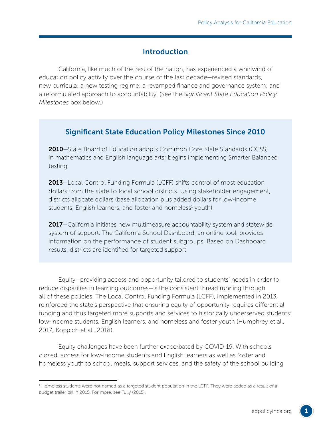## Introduction

California, like much of the rest of the nation, has experienced a whirlwind of education policy activity over the course of the last decade—revised standards; new curricula; a new testing regime; a revamped finance and governance system; and a reformulated approach to accountability. (See the *Significant State Education Policy Milestones* box below.)

## Significant State Education Policy Milestones Since 2010

2010–State Board of Education adopts Common Core State Standards (CCSS) in mathematics and English language arts; begins implementing Smarter Balanced testing.

2013-Local Control Funding Formula (LCFF) shifts control of most education dollars from the state to local school districts. Using stakeholder engagement, districts allocate dollars (base allocation plus added dollars for low-income students, English learners, and foster and homeless<sup>1</sup> youth).

2017–California initiates new multimeasure accountability system and statewide system of support. The California School Dashboard, an online tool, provides information on the performance of student subgroups. Based on Dashboard results, districts are identified for targeted support.

Equity—providing access and opportunity tailored to students' needs in order to reduce disparities in learning outcomes—is the consistent thread running through all of these policies. The Local Control Funding Formula (LCFF), implemented in 2013, reinforced the state's perspective that ensuring equity of opportunity requires differential funding and thus targeted more supports and services to historically underserved students: low-income students, English learners, and homeless and foster youth (Humphrey et al., 2017; Koppich et al., 2018).

Equity challenges have been further exacerbated by COVID-19. With schools closed, access for low-income students and English learners as well as foster and homeless youth to school meals, support services, and the safety of the school building

<sup>1</sup> Homeless students were not named as a targeted student population in the LCFF. They were added as a result of a budget trailer bill in 2015. For more, see Tully (2015).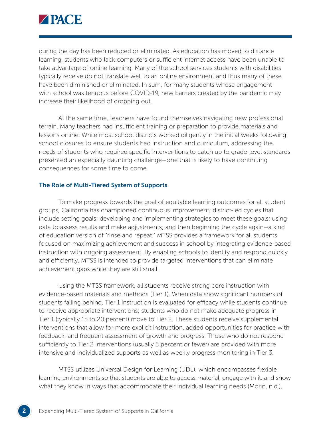

during the day has been reduced or eliminated. As education has moved to distance learning, students who lack computers or sufficient internet access have been unable to take advantage of online learning. Many of the school services students with disabilities typically receive do not translate well to an online environment and thus many of these have been diminished or eliminated. In sum, for many students whose engagement with school was tenuous before COVID-19, new barriers created by the pandemic may increase their likelihood of dropping out.

At the same time, teachers have found themselves navigating new professional terrain. Many teachers had insufficient training or preparation to provide materials and lessons online. While most school districts worked diligently in the initial weeks following school closures to ensure students had instruction and curriculum, addressing the needs of students who required specific interventions to catch up to grade-level standards presented an especially daunting challenge—one that is likely to have continuing consequences for some time to come.

#### The Role of Multi-Tiered System of Supports

To make progress towards the goal of equitable learning outcomes for all student groups, California has championed continuous improvement; district-led cycles that include setting goals; developing and implementing strategies to meet these goals; using data to assess results and make adjustments; and then beginning the cycle again—a kind of education version of "rinse and repeat." MTSS provides a framework for all students focused on maximizing achievement and success in school by integrating evidence-based instruction with ongoing assessment. By enabling schools to identify and respond quickly and efficiently, MTSS is intended to provide targeted interventions that can eliminate achievement gaps while they are still small.

Using the MTSS framework, all students receive strong core instruction with evidence-based materials and methods (Tier 1). When data show significant numbers of students falling behind, Tier 1 instruction is evaluated for efficacy while students continue to receive appropriate interventions; students who do not make adequate progress in Tier 1 (typically 15 to 20 percent) move to Tier 2. These students receive supplemental interventions that allow for more explicit instruction, added opportunities for practice with feedback, and frequent assessment of growth and progress. Those who do not respond sufficiently to Tier 2 interventions (usually 5 percent or fewer) are provided with more intensive and individualized supports as well as weekly progress monitoring in Tier 3.

MTSS utilizes Universal Design for Learning (UDL), which encompasses flexible learning environments so that students are able to access material, engage with it, and show what they know in ways that accommodate their individual learning needs (Morin, n.d.).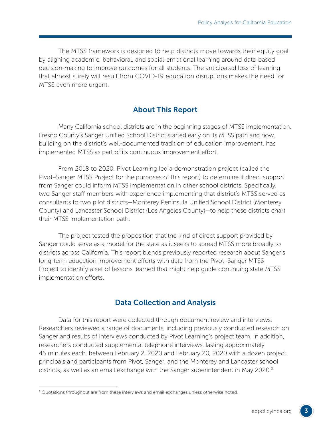The MTSS framework is designed to help districts move towards their equity goal by aligning academic, behavioral, and social-emotional learning around data-based decision-making to improve outcomes for all students. The anticipated loss of learning that almost surely will result from COVID-19 education disruptions makes the need for MTSS even more urgent.

## About This Report

Many California school districts are in the beginning stages of MTSS implementation. Fresno County's Sanger Unified School District started early on its MTSS path and now, building on the district's well-documented tradition of education improvement, has implemented MTSS as part of its continuous improvement effort.

From 2018 to 2020, Pivot Learning led a demonstration project (called the Pivot–Sanger MTSS Project for the purposes of this report) to determine if direct support from Sanger could inform MTSS implementation in other school districts. Specifically, two Sanger staff members with experience implementing that district's MTSS served as consultants to two pilot districts—Monterey Peninsula Unified School District (Monterey County) and Lancaster School District (Los Angeles County)—to help these districts chart their MTSS implementation path.

The project tested the proposition that the kind of direct support provided by Sanger could serve as a model for the state as it seeks to spread MTSS more broadly to districts across California. This report blends previously reported research about Sanger's long-term education improvement efforts with data from the Pivot–Sanger MTSS Project to identify a set of lessons learned that might help guide continuing state MTSS implementation efforts.

#### Data Collection and Analysis

Data for this report were collected through document review and interviews. Researchers reviewed a range of documents, including previously conducted research on Sanger and results of interviews conducted by Pivot Learning's project team. In addition, researchers conducted supplemental telephone interviews, lasting approximately 45 minutes each, between February 2, 2020 and February 20, 2020 with a dozen project principals and participants from Pivot, Sanger, and the Monterey and Lancaster school districts, as well as an email exchange with the Sanger superintendent in May 2020.2

 $<sup>2</sup>$  Quotations throughout are from these interviews and email exchanges unless otherwise noted.</sup>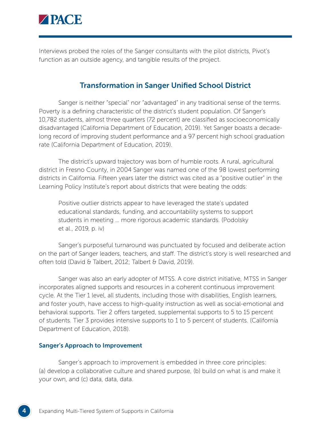

Interviews probed the roles of the Sanger consultants with the pilot districts, Pivot's function as an outside agency, and tangible results of the project.

## Transformation in Sanger Unified School District

Sanger is neither "special" nor "advantaged" in any traditional sense of the terms. Poverty is a defining characteristic of the district's student population. Of Sanger's 10,782 students, almost three quarters (72 percent) are classified as socioeconomically disadvantaged (California Department of Education, 2019). Yet Sanger boasts a decadelong record of improving student performance and a 97 percent high school graduation rate (California Department of Education, 2019).

The district's upward trajectory was born of humble roots. A rural, agricultural district in Fresno County, in 2004 Sanger was named one of the 98 lowest performing districts in California. Fifteen years later the district was cited as a "positive outlier" in the Learning Policy Institute's report about districts that were beating the odds:

Positive outlier districts appear to have leveraged the state's updated educational standards, funding, and accountability systems to support students in meeting … more rigorous academic standards. (Podolsky et al., 2019, p. iv)

Sanger's purposeful turnaround was punctuated by focused and deliberate action on the part of Sanger leaders, teachers, and staff. The district's story is well researched and often told (David & Talbert, 2012; Talbert & David, 2019).

Sanger was also an early adopter of MTSS. A core district initiative, MTSS in Sanger incorporates aligned supports and resources in a coherent continuous improvement cycle. At the Tier 1 level, all students, including those with disabilities, English learners, and foster youth, have access to high-quality instruction as well as social-emotional and behavioral supports. Tier 2 offers targeted, supplemental supports to 5 to 15 percent of students. Tier 3 provides intensive supports to 1 to 5 percent of students. (California Department of Education, 2018).

#### Sanger's Approach to Improvement

Sanger's approach to improvement is embedded in three core principles: (a) develop a collaborative culture and shared purpose, (b) build on what is and make it your own, and (c) data, data, data.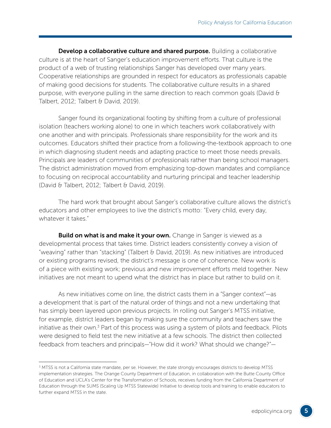Develop a collaborative culture and shared purpose. Building a collaborative culture is at the heart of Sanger's education improvement efforts. That culture is the product of a web of trusting relationships Sanger has developed over many years. Cooperative relationships are grounded in respect for educators as professionals capable of making good decisions for students. The collaborative culture results in a shared purpose, with everyone pulling in the same direction to reach common goals (David & Talbert, 2012; Talbert & David, 2019).

Sanger found its organizational footing by shifting from a culture of professional isolation (teachers working alone) to one in which teachers work collaboratively with one another and with principals. Professionals share responsibility for the work and its outcomes. Educators shifted their practice from a following-the-textbook approach to one in which diagnosing student needs and adapting practice to meet those needs prevails. Principals are leaders of communities of professionals rather than being school managers. The district administration moved from emphasizing top-down mandates and compliance to focusing on reciprocal accountability and nurturing principal and teacher leadership (David & Talbert, 2012; Talbert & David, 2019).

The hard work that brought about Sanger's collaborative culture allows the district's educators and other employees to live the district's motto: "Every child, every day, whatever it takes."

**Build on what is and make it your own.** Change in Sanger is viewed as a developmental process that takes time. District leaders consistently convey a vision of "weaving" rather than "stacking" (Talbert & David, 2019). As new initiatives are introduced or existing programs revised, the district's message is one of coherence. New work is of a piece with existing work; previous and new improvement efforts meld together. New initiatives are not meant to upend what the district has in place but rather to build on it.

As new initiatives come on line, the district casts them in a "Sanger context"—as a development that is part of the natural order of things and not a new undertaking that has simply been layered upon previous projects. In rolling out Sanger's MTSS initiative, for example, district leaders began by making sure the community and teachers saw the initiative as their own.<sup>3</sup> Part of this process was using a system of pilots and feedback. Pilots were designed to field test the new initiative at a few schools. The district then collected feedback from teachers and principals—"How did it work? What should we change?"—

<sup>3</sup> MTSS is not a California state mandate, per se. However, the state strongly encourages districts to develop MTSS implementation strategies. The Orange County Department of Education, in collaboration with the Butte County Office of Education and UCLA's Center for the Transformation of Schools, receives funding from the California Department of Education through the SUMS (Scaling Up MTSS Statewide) Initiative to develop tools and training to enable educators to further expand MTSS in the state.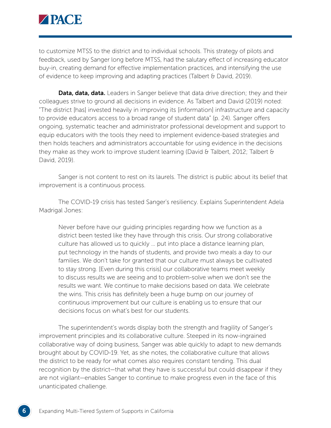

to customize MTSS to the district and to individual schools. This strategy of pilots and feedback, used by Sanger long before MTSS, had the salutary effect of increasing educator buy-in, creating demand for effective implementation practices, and intensifying the use of evidence to keep improving and adapting practices (Talbert & David, 2019).

**Data, data, data.** Leaders in Sanger believe that data drive direction; they and their colleagues strive to ground all decisions in evidence. As Talbert and David (2019) noted: "The district [has] invested heavily in improving its [information] infrastructure and capacity to provide educators access to a broad range of student data" (p. 24). Sanger offers ongoing, systematic teacher and administrator professional development and support to equip educators with the tools they need to implement evidence-based strategies and then holds teachers and administrators accountable for using evidence in the decisions they make as they work to improve student learning (David & Talbert, 2012; Talbert  $\theta$ David, 2019).

Sanger is not content to rest on its laurels. The district is public about its belief that improvement is a continuous process.

The COVID-19 crisis has tested Sanger's resiliency. Explains Superintendent Adela Madrigal Jones:

Never before have our guiding principles regarding how we function as a district been tested like they have through this crisis. Our strong collaborative culture has allowed us to quickly … put into place a distance learning plan, put technology in the hands of students, and provide two meals a day to our families. We don't take for granted that our culture must always be cultivated to stay strong. [Even during this crisis] our collaborative teams meet weekly to discuss results we are seeing and to problem-solve when we don't see the results we want. We continue to make decisions based on data. We celebrate the wins. This crisis has definitely been a huge bump on our journey of continuous improvement but our culture is enabling us to ensure that our decisions focus on what's best for our students.

The superintendent's words display both the strength and fragility of Sanger's improvement principles and its collaborative culture. Steeped in its now-ingrained collaborative way of doing business, Sanger was able quickly to adapt to new demands brought about by COVID-19. Yet, as she notes, the collaborative culture that allows the district to be ready for what comes also requires constant tending. This dual recognition by the district—that what they have is successful but could disappear if they are not vigilant—enables Sanger to continue to make progress even in the face of this unanticipated challenge.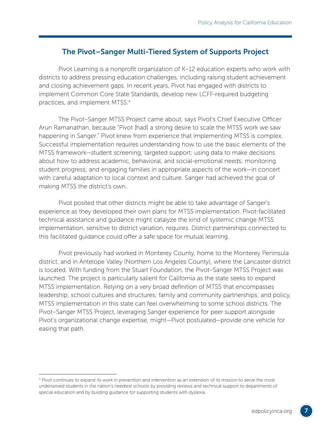## The Pivot–Sanger Multi-Tiered System of Supports Project

Pivot Learning is a nonprofit organization of K–12 education experts who work with districts to address pressing education challenges, including raising student achievement and closing achievement gaps. In recent years, Pivot has engaged with districts to implement Common Core State Standards, develop new LCFF-required budgeting practices, and implement MTSS.4

The Pivot–Sanger MTSS Project came about, says Pivot's Chief Executive Officer Arun Ramanathan, because "Pivot [had] a strong desire to scale the MTSS work we saw happening in Sanger." Pivot knew from experience that implementing MTSS is complex. Successful implementation requires understanding how to use the basic elements of the MTSS framework—student screening; targeted support; using data to make decisions about how to address academic, behavioral, and social-emotional needs; monitoring student progress; and engaging families in appropriate aspects of the work—in concert with careful adaptation to local context and culture. Sanger had achieved the goal of making MTSS the district's own.

Pivot posited that other districts might be able to take advantage of Sanger's experience as they developed their own plans for MTSS implementation. Pivot-facilitated technical assistance and guidance might catalyze the kind of systemic change MTSS implementation, sensitive to district variation, requires. District partnerships connected to this facilitated guidance could offer a safe space for mutual learning.

Pivot previously had worked in Monterey County, home to the Monterey Peninsula district, and in Antelope Valley (Northern Los Angeles County), where the Lancaster district is located. With funding from the Stuart Foundation, the Pivot–Sanger MTSS Project was launched. The project is particularly salient for California as the state seeks to expand MTSS implementation. Relying on a very broad definition of MTSS that encompasses leadership; school cultures and structures; family and community partnerships; and policy, MTSS implementation in this state can feel overwhelming to some school districts. The Pivot–Sanger MTSS Project, leveraging Sanger experience for peer support alongside Pivot's organizational change expertise, might—Pivot postulated—provide one vehicle for easing that path.

<sup>4</sup> Pivot continues to expand its work in prevention and intervention as an extension of its mission to serve the most underserved students in the nation's neediest schools by providing reviews and technical support to departments of special education and by building guidance for supporting students with dyslexia.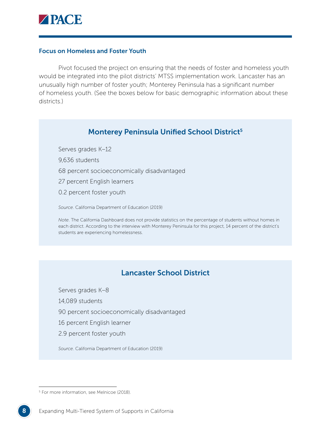

#### Focus on Homeless and Foster Youth

Pivot focused the project on ensuring that the needs of foster and homeless youth would be integrated into the pilot districts' MTSS implementation work. Lancaster has an unusually high number of foster youth; Monterey Peninsula has a significant number of homeless youth. (See the boxes below for basic demographic information about these districts.)

#### Monterey Peninsula Unified School District<sup>5</sup>

Serves grades K–12

9,636 students

- 68 percent socioeconomically disadvantaged
- 27 percent English learners
- 0.2 percent foster youth

*Source*. California Department of Education (2019)

*Note*. The California Dashboard does not provide statistics on the percentage of students without homes in each district. According to the interview with Monterey Peninsula for this project, 14 percent of the district's students are experiencing homelessness.

## Lancaster School District

Serves grades K–8

14,089 students

90 percent socioeconomically disadvantaged

16 percent English learner

2.9 percent foster youth

*Source*. California Department of Education (2019)

<sup>5</sup> For more information, see Melnicoe (2018).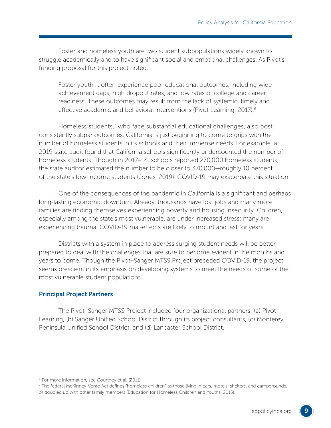Foster and homeless youth are two student subpopulations widely known to struggle academically and to have significant social and emotional challenges. As Pivot's funding proposal for this project noted:

Foster youth … often experience poor educational outcomes, including wide achievement gaps, high dropout rates, and low rates of college and career readiness. These outcomes may result from the lack of systemic, timely and effective academic and behavioral interventions (Pivot Learning, 2017).<sup>6</sup>

Homeless students,<sup>7</sup> who face substantial educational challenges, also post consistently subpar outcomes. California is just beginning to come to grips with the number of homeless students in its schools and their immense needs. For example, a 2019 state audit found that California schools significantly undercounted the number of homeless students. Though in 2017–18, schools reported 270,000 homeless students, the state auditor estimated the number to be closer to 370,000—roughly 10 percent of the state's low-income students (Jones, 2019). COVID-19 may exacerbate this situation.

One of the consequences of the pandemic in California is a significant and perhaps long-lasting economic downturn. Already, thousands have lost jobs and many more families are finding themselves experiencing poverty and housing insecurity. Children, especially among the state's most vulnerable, are under increased stress; many are experiencing trauma. COVID-19 mal-effects are likely to mount and last for years.

Districts with a system in place to address surging student needs will be better prepared to deal with the challenges that are sure to become evident in the months and years to come. Though the Pivot–Sanger MTSS Project preceded COVID-19, the project seems prescient in its emphasis on developing systems to meet the needs of some of the most vulnerable student populations.

#### Principal Project Partners

The Pivot–Sanger MTSS Project included four organizational partners: (a) Pivot Learning, (b) Sanger Unified School District through its project consultants, (c) Monterey Peninsula Unified School District, and (d) Lancaster School District.

<sup>&</sup>lt;sup>6</sup> For more information, see Courtney et al. (2011).

<sup>7</sup> The federal McKinney-Vento Act defines "homeless children" as those living in cars, motels, shelters, and campgrounds, or doubled up with other family members (Education for Homeless Children and Youths, 2015).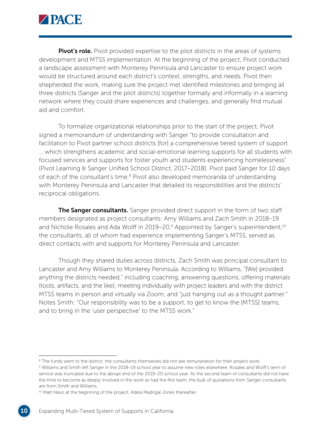

**Pivot's role.** Pivot provided expertise to the pilot districts in the areas of systems development and MTSS implementation. At the beginning of the project, Pivot conducted a landscape assessment with Monterey Peninsula and Lancaster to ensure project work would be structured around each district's context, strengths, and needs. Pivot then shepherded the work, making sure the project met identified milestones and bringing all three districts (Sanger and the pilot districts) together formally and informally in a learning network where they could share experiences and challenges, and generally find mutual aid and comfort.

To formalize organizational relationships prior to the start of the project, Pivot signed a memorandum of understanding with Sanger "to provide consultation and facilitation to Pivot partner school districts [for] a comprehensive tiered system of support … which strengthens academic and social-emotional learning supports for all students with focused services and supports for foster youth and students experiencing homelessness" (Pivot Learning & Sanger Unified School District, 2017–2018). Pivot paid Sanger for 10 days of each of the consultant's time.<sup>8</sup> Pivot also developed memoranda of understanding with Monterey Peninsula and Lancaster that detailed its responsibilities and the districts' reciprocal obligations.

The Sanger consultants. Sanger provided direct support in the form of two staff members designated as project consultants: Amy Williams and Zach Smith in 2018–19 and Nichole Rosales and Ada Wolff in 2019–20.<sup>9</sup> Appointed by Sanger's superintendent,<sup>10</sup> the consultants, all of whom had experience implementing Sanger's MTSS, served as direct contacts with and supports for Monterey Peninsula and Lancaster.

Though they shared duties across districts, Zach Smith was principal consultant to Lancaster and Amy Williams to Monterey Peninsula. According to Williams, "[We] provided anything the districts needed," including coaching, answering questions, offering materials (tools, artifacts, and the like); meeting individually with project leaders and with the district MTSS teams in person and virtually via Zoom; and "just hanging out as a thought partner." Notes Smith: "Our responsibility was to be a support, to get to know the [MTSS] teams, and to bring in the 'user perspective' to the MTSS work."

<sup>&</sup>lt;sup>8</sup> The funds went to the district; the consultants themselves did not see remuneration for their project work.

<sup>9</sup> Williams and Smith left Sanger in the 2018–19 school year to assume new roles elsewhere. Rosales and Wolff's term of service was truncated due to the abrupt end of the 2019–20 school year. As the second team of consultants did not have the time to become as deeply involved in the work as had the first team, the bulk of quotations from Sanger consultants are from Smith and Williams.

<sup>&</sup>lt;sup>10</sup> Matt Navo at the beginning of the project, Adela Madrigal Jones thereafter.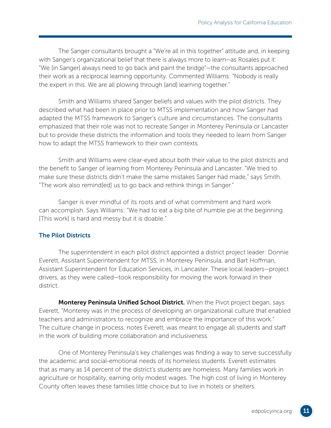The Sanger consultants brought a "We're all in this together" attitude and, in keeping with Sanger's organizational belief that there is always more to learn—as Rosales put it: "We [in Sanger] always need to go back and paint the bridge"—the consultants approached their work as a reciprocal learning opportunity. Commented Williams: "Nobody is really the expert in this. We are all plowing through [and] learning together."

Smith and Williams shared Sanger beliefs and values with the pilot districts. They described what had been in place prior to MTSS implementation and how Sanger had adapted the MTSS framework to Sanger's culture and circumstances. The consultants emphasized that their role was not to recreate Sanger in Monterey Peninsula or Lancaster but to provide these districts the information and tools they needed to learn from Sanger how to adapt the MTSS framework to their own contexts.

Smith and Williams were clear-eyed about both their value to the pilot districts and the benefit to Sanger of learning from Monterey Peninsula and Lancaster. "We tried to make sure these districts didn't make the same mistakes Sanger had made," says Smith. "The work also remind[ed] us to go back and rethink things in Sanger."

Sanger is ever mindful of its roots and of what commitment and hard work can accomplish. Says Williams: "We had to eat a big bite of humble pie at the beginning. [This work] is hard and messy but it is doable."

#### The Pilot Districts

The superintendent in each pilot district appointed a district project leader: Donnie Everett, Assistant Superintendent for MTSS, in Monterey Peninsula, and Bart Hoffman, Assistant Superintendent for Education Services, in Lancaster. These local leaders—project drivers, as they were called—took responsibility for moving the work forward in their district.

Monterey Peninsula Unified School District. When the Pivot project began, says Everett, "Monterey was in the process of developing an organizational culture that enabled teachers and administrators to recognize and embrace the importance of this work." The culture change in process, notes Everett, was meant to engage all students and staff in the work of building more collaboration and inclusiveness.

One of Monterey Peninsula's key challenges was finding a way to serve successfully the academic and social-emotional needs of its homeless students. Everett estimates that as many as 14 percent of the district's students are homeless. Many families work in agriculture or hospitality, earning only modest wages. The high cost of living in Monterey County often leaves these families little choice but to live in hotels or shelters.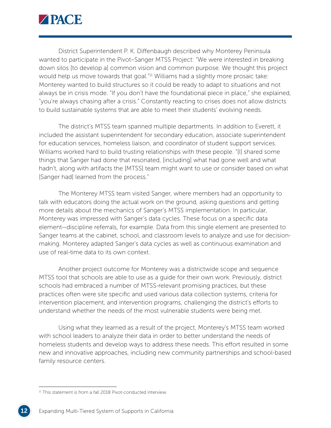

District Superintendent P. K. Diffenbaugh described why Monterey Peninsula wanted to participate in the Pivot–Sanger MTSS Project: "We were interested in breaking down silos [to develop a] common vision and common purpose. We thought this project would help us move towards that goal."<sup>11</sup> Williams had a slightly more prosaic take: Monterey wanted to build structures so it could be ready to adapt to situations and not always be in crisis mode. "If you don't have the foundational piece in place," she explained, "you're always chasing after a crisis." Constantly reacting to crises does not allow districts to build sustainable systems that are able to meet their students' evolving needs.

The district's MTSS team spanned multiple departments. In addition to Everett, it included the assistant superintendent for secondary education, associate superintendent for education services, homeless liaison, and coordinator of student support services. Williams worked hard to build trusting relationships with these people. "[I] shared some things that Sanger had done that resonated, [including] what had gone well and what hadn't, along with artifacts the [MTSS] team might want to use or consider based on what [Sanger had] learned from the process."

The Monterey MTSS team visited Sanger, where members had an opportunity to talk with educators doing the actual work on the ground, asking questions and getting more details about the mechanics of Sanger's MTSS implementation. In particular, Monterey was impressed with Sanger's data cycles. These focus on a specific data element—discipline referrals, for example. Data from this single element are presented to Sanger teams at the cabinet, school, and classroom levels to analyze and use for decisionmaking. Monterey adapted Sanger's data cycles as well as continuous examination and use of real-time data to its own context.

Another project outcome for Monterey was a districtwide scope and sequence MTSS tool that schools are able to use as a guide for their own work. Previously, district schools had embraced a number of MTSS-relevant promising practices, but these practices often were site specific and used various data collection systems, criteria for intervention placement, and intervention programs, challenging the district's efforts to understand whether the needs of the most vulnerable students were being met.

Using what they learned as a result of the project, Monterey's MTSS team worked with school leaders to analyze their data in order to better understand the needs of homeless students and develop ways to address these needs. This effort resulted in some new and innovative approaches, including new community partnerships and school-based family resource centers.

<sup>&</sup>lt;sup>11</sup> This statement is from a fall 2018 Pivot-conducted interview.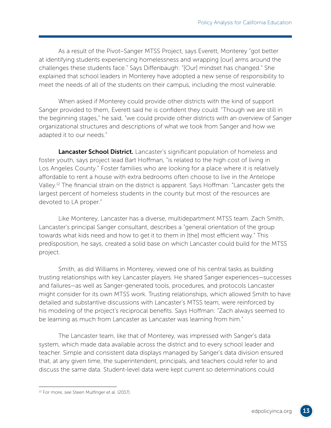As a result of the Pivot–Sanger MTSS Project, says Everett, Monterey "got better at identifying students experiencing homelessness and wrapping [our] arms around the challenges these students face." Says Diffenbaugh: "[Our] mindset has changed." She explained that school leaders in Monterey have adopted a new sense of responsibility to meet the needs of all of the students on their campus, including the most vulnerable.

When asked if Monterey could provide other districts with the kind of support Sanger provided to them, Everett said he is confident they could. "Though we are still in the beginning stages," he said, "we could provide other districts with an overview of Sanger organizational structures and descriptions of what we took from Sanger and how we adapted it to our needs."

Lancaster School District. Lancaster's significant population of homeless and foster youth, says project lead Bart Hoffman, "is related to the high cost of living in Los Angeles County." Foster families who are looking for a place where it is relatively affordable to rent a house with extra bedrooms often choose to live in the Antelope Valley.12 The financial strain on the district is apparent. Says Hoffman: "Lancaster gets the largest percent of homeless students in the county but most of the resources are devoted to LA proper."

Like Monterey, Lancaster has a diverse, multidepartment MTSS team. Zach Smith, Lancaster's principal Sanger consultant, describes a "general orientation of the group towards what kids need and how to get it to them in [the] most efficient way." This predisposition, he says, created a solid base on which Lancaster could build for the MTSS project.

Smith, as did Williams in Monterey, viewed one of his central tasks as building trusting relationships with key Lancaster players. He shared Sanger experiences—successes and failures—as well as Sanger-generated tools, procedures, and protocols Lancaster might consider for its own MTSS work. Trusting relationships, which allowed Smith to have detailed and substantive discussions with Lancaster's MTSS team, were reinforced by his modeling of the project's reciprocal benefits. Says Hoffman: "Zach always seemed to be learning as much from Lancaster as Lancaster was learning from him."

The Lancaster team, like that of Monterey, was impressed with Sanger's data system, which made data available across the district and to every school leader and teacher. Simple and consistent data displays managed by Sanger's data division ensured that, at any given time, the superintendent, principals, and teachers could refer to and discuss the same data. Student-level data were kept current so determinations could

<sup>&</sup>lt;sup>12</sup> For more, see Steen Mulfinger et al. (2017).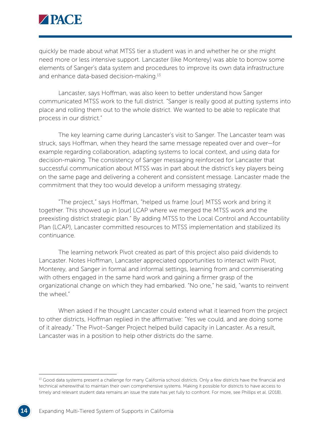

quickly be made about what MTSS tier a student was in and whether he or she might need more or less intensive support. Lancaster (like Monterey) was able to borrow some elements of Sanger's data system and procedures to improve its own data infrastructure and enhance data-based decision-making.13

Lancaster, says Hoffman, was also keen to better understand how Sanger communicated MTSS work to the full district. "Sanger is really good at putting systems into place and rolling them out to the whole district. We wanted to be able to replicate that process in our district."

The key learning came during Lancaster's visit to Sanger. The Lancaster team was struck, says Hoffman, when they heard the same message repeated over and over—for example regarding collaboration, adapting systems to local context, and using data for decision-making. The consistency of Sanger messaging reinforced for Lancaster that successful communication about MTSS was in part about the district's key players being on the same page and delivering a coherent and consistent message. Lancaster made the commitment that they too would develop a uniform messaging strategy.

"The project," says Hoffman, "helped us frame [our] MTSS work and bring it together. This showed up in [our] LCAP where we merged the MTSS work and the preexisting district strategic plan." By adding MTSS to the Local Control and Accountability Plan (LCAP), Lancaster committed resources to MTSS implementation and stabilized its continuance.

The learning network Pivot created as part of this project also paid dividends to Lancaster. Notes Hoffman, Lancaster appreciated opportunities to interact with Pivot, Monterey, and Sanger in formal and informal settings, learning from and commiserating with others engaged in the same hard work and gaining a firmer grasp of the organizational change on which they had embarked. "No one," he said, "wants to reinvent the wheel."

When asked if he thought Lancaster could extend what it learned from the project to other districts, Hoffman replied in the affirmative: "Yes we could, and are doing some of it already." The Pivot–Sanger Project helped build capacity in Lancaster. As a result, Lancaster was in a position to help other districts do the same.

<sup>&</sup>lt;sup>13</sup> Good data systems present a challenge for many California school districts. Only a few districts have the financial and technical wherewithal to maintain their own comprehensive systems. Making it possible for districts to have access to timely and relevant student data remains an issue the state has yet fully to confront. For more, see Phillips et al. (2018).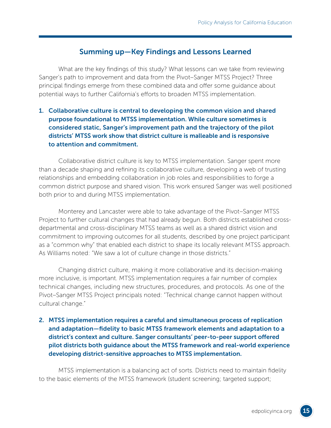#### Summing up—Key Findings and Lessons Learned

What are the key findings of this study? What lessons can we take from reviewing Sanger's path to improvement and data from the Pivot–Sanger MTSS Project? Three principal findings emerge from these combined data and offer some guidance about potential ways to further California's efforts to broaden MTSS implementation.

#### 1. Collaborative culture is central to developing the common vision and shared purpose foundational to MTSS implementation. While culture sometimes is considered static, Sanger's improvement path and the trajectory of the pilot districts' MTSS work show that district culture is malleable and is responsive to attention and commitment.

Collaborative district culture is key to MTSS implementation. Sanger spent more than a decade shaping and refining its collaborative culture, developing a web of trusting relationships and embedding collaboration in job roles and responsibilities to forge a common district purpose and shared vision. This work ensured Sanger was well positioned both prior to and during MTSS implementation.

Monterey and Lancaster were able to take advantage of the Pivot–Sanger MTSS Project to further cultural changes that had already begun. Both districts established crossdepartmental and cross-disciplinary MTSS teams as well as a shared district vision and commitment to improving outcomes for all students, described by one project participant as a "common why" that enabled each district to shape its locally relevant MTSS approach. As Williams noted: "We saw a lot of culture change in those districts."

Changing district culture, making it more collaborative and its decision-making more inclusive, is important. MTSS implementation requires a fair number of complex technical changes, including new structures, procedures, and protocols. As one of the Pivot–Sanger MTSS Project principals noted: "Technical change cannot happen without cultural change."

#### 2. MTSS implementation requires a careful and simultaneous process of replication and adaptation—fidelity to basic MTSS framework elements and adaptation to a district's context and culture. Sanger consultants' peer-to-peer support offered pilot districts both guidance about the MTSS framework and real-world experience developing district-sensitive approaches to MTSS implementation.

MTSS implementation is a balancing act of sorts. Districts need to maintain fidelity to the basic elements of the MTSS framework (student screening; targeted support;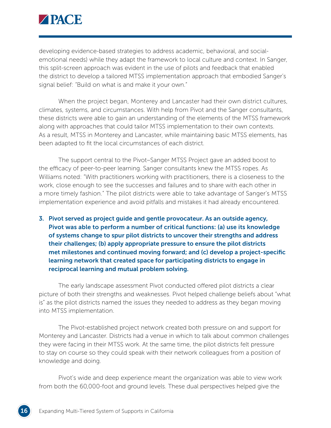

developing evidence-based strategies to address academic, behavioral, and socialemotional needs) while they adapt the framework to local culture and context. In Sanger, this split-screen approach was evident in the use of pilots and feedback that enabled the district to develop a tailored MTSS implementation approach that embodied Sanger's signal belief: "Build on what is and make it your own."

When the project began, Monterey and Lancaster had their own district cultures, climates, systems, and circumstances. With help from Pivot and the Sanger consultants, these districts were able to gain an understanding of the elements of the MTSS framework along with approaches that could tailor MTSS implementation to their own contexts. As a result, MTSS in Monterey and Lancaster, while maintaining basic MTSS elements, has been adapted to fit the local circumstances of each district.

The support central to the Pivot–Sanger MTSS Project gave an added boost to the efficacy of peer-to-peer learning. Sanger consultants knew the MTSS ropes. As Williams noted: "With practitioners working with practitioners, there is a closeness to the work, close enough to see the successes and failures and to share with each other in a more timely fashion." The pilot districts were able to take advantage of Sanger's MTSS implementation experience and avoid pitfalls and mistakes it had already encountered.

3. Pivot served as project guide and gentle provocateur. As an outside agency, Pivot was able to perform a number of critical functions: (a) use its knowledge of systems change to spur pilot districts to uncover their strengths and address their challenges; (b) apply appropriate pressure to ensure the pilot districts met milestones and continued moving forward; and (c) develop a project-specific learning network that created space for participating districts to engage in reciprocal learning and mutual problem solving.

The early landscape assessment Pivot conducted offered pilot districts a clear picture of both their strengths and weaknesses. Pivot helped challenge beliefs about "what is" as the pilot districts named the issues they needed to address as they began moving into MTSS implementation.

The Pivot-established project network created both pressure on and support for Monterey and Lancaster. Districts had a venue in which to talk about common challenges they were facing in their MTSS work. At the same time, the pilot districts felt pressure to stay on course so they could speak with their network colleagues from a position of knowledge and doing.

Pivot's wide and deep experience meant the organization was able to view work from both the 60,000-foot and ground levels. These dual perspectives helped give the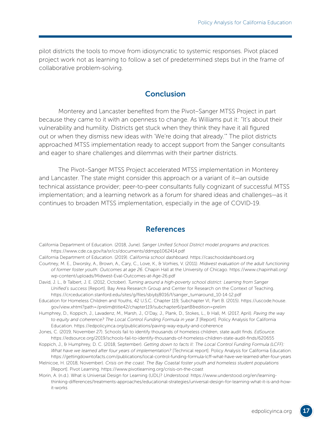pilot districts the tools to move from idiosyncratic to systemic responses. Pivot placed project work not as learning to follow a set of predetermined steps but in the frame of collaborative problem-solving.

#### **Conclusion**

Monterey and Lancaster benefited from the Pivot–Sanger MTSS Project in part because they came to it with an openness to change. As Williams put it: "It's about their vulnerability and humility. Districts get stuck when they think they have it all figured out or when they dismiss new ideas with 'We're doing that already.'" The pilot districts approached MTSS implementation ready to accept support from the Sanger consultants and eager to share challenges and dilemmas with their partner districts.

The Pivot–Sanger MTSS Project accelerated MTSS implementation in Monterey and Lancaster. The state might consider this approach or a variant of it—an outside technical assistance provider; peer-to-peer consultants fully cognizant of successful MTSS implementation; and a learning network as a forum for shared ideas and challenges—as it continues to broaden MTSS implementation, especially in the age of COVID-19.

#### **References**

- California Department of Education. (2018, June). *Sanger Unified School District model programs and practices.* <https://www.cde.ca.gov/ta/sr/cs/documents/ddmpp1062414.pdf>
- California Department of Education. (2019). *California school dashboard*.<https://caschooldashboard.org>
- Courtney, M. E., Dworsky, A., Brown, A., Cary, C., Love, K., & Vorhies, V. (2011). *Midwest evaluation of the adult functioning of former foster youth: Outcomes at age 26*. Chapin Hall at the University of Chicago. [https://www.chapinhall.org/](https://www.chapinhall.org/wp-content/uploads/Midwest-Eval-Outcomes-at-Age-26.pdf) [wp-content/uploads/Midwest-Eval-Outcomes-at-Age-26.pdf](https://www.chapinhall.org/wp-content/uploads/Midwest-Eval-Outcomes-at-Age-26.pdf)
- David, J. L., & Talbert, J. E. (2012, October). *Turning around a high-poverty school district: Learning from Sanger Unified's success* [Report]. Bay Area Research Group and Center for Research on the Context of Teaching. [https://crceducation.stanford.edu/sites/g/files/sbiybj8016/f/sanger\\_turnaround\\_10-14-12.pdf](https://crceducation.stanford.edu/sites/g/files/sbiybj8016/f/sanger_turnaround_10-14-12.pdf)
- Education for Homeless Children and Youths, 42 U.S.C. Chapter 119, Subchapter VI, Part B. (2015). [https://uscode.house.](https://uscode.house.gov/view.xhtml?path=/prelim@title42/chapter119/subchapter6/partB&edition=prelim) [gov/view.xhtml?path=/prelim@title42/chapter119/subchapter6/partB&edition=prelim](https://uscode.house.gov/view.xhtml?path=/prelim@title42/chapter119/subchapter6/partB&edition=prelim)
- Humphrey, D., Koppich, J., Lavadenz, M., Marsh, J., O'Day, J., Plank, D., Stokes, L., & Hall, M. (2017, April). *Paving the way to equity and coherence? The Local Control Funding Formula in year 3* [Report]. Policy Analysis for California Education.<https://edpolicyinca.org/publications/paving-way-equity-and-coherence>
- Jones, C. (2019, November 27). Schools fail to identify thousands of homeless children, state audit finds. *EdSource*. <https://edsource.org/2019/schools-fail-to-identify-thousands-of-homeless-children-state-audit-finds/620655>
- Koppich, J., & Humphrey, D. C. (2018, September). *Getting down to facts II: The Local Control Funding Formula (LCFF): What have we learned after four years of implementation?* [Technical report]. Policy Analysis for California Education. <https://gettingdowntofacts.com/publications/local-control-funding-formula-lcff-what-have-we-learned-after-four-years>
- Melnicoe, H. (2018, November). *Crisis on the coast. The Bay Coastal foster youth and homeless student populations* [Report]. Pivot Learning. <https://www.pivotlearning.org/crisis-on-the-coast>
- Morin, A. (n.d.). What is Universal Design for Learning (UDL)? *Understood*. [https://www.understood.org/en/learning](https://www.understood.org/en/learning-thinking-differences/treatments-approaches/educational-strategies/universal-design-for-learning-what-it-is-and-how-it-works)[thinking-differences/treatments-approaches/educational-strategies/universal-design-for-learning-what-it-is-and-how](https://www.understood.org/en/learning-thinking-differences/treatments-approaches/educational-strategies/universal-design-for-learning-what-it-is-and-how-it-works)[it-works](https://www.understood.org/en/learning-thinking-differences/treatments-approaches/educational-strategies/universal-design-for-learning-what-it-is-and-how-it-works)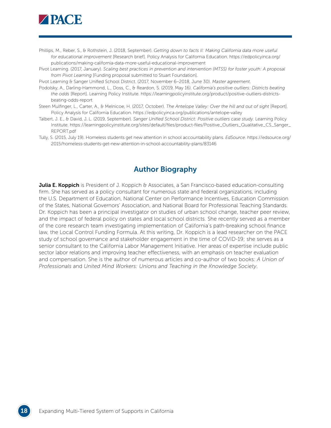

- Phillips, M., Reber, S., & Rothstein, J. (2018, September). *Getting down to facts II: Making California data more useful for educational improvement* [Research brief]. Policy Analysis for California Education. [https://edpolicyinca.org/](https://edpolicyinca.org/publications/making-california-data-more-useful-educational-improvement) [publications/making-california-data-more-useful-educational-improvement](https://edpolicyinca.org/publications/making-california-data-more-useful-educational-improvement)
- Pivot Learning. (2017, January). *Scaling best practices in prevention and intervention (MTSS) for foster youth: A proposal from Pivot Learning* [Funding proposal submitted to Stuart Foundation].

Pivot Learning & Sanger Unified School District. (2017, November 6–2018, June 30). *Master agreement.*

- Podolsky, A., Darling-Hammond, L., Doss, C., & Reardon, S. (2019, May 16). *California's positive outliers: Districts beating the odds* [Report]. Learning Policy Institute. [https://learningpolicyinstitute.org/product/positive-outliers-districts](https://learningpolicyinstitute.org/product/positive-outliers-districts-beating-odds-report)[beating-odds-report](https://learningpolicyinstitute.org/product/positive-outliers-districts-beating-odds-report)
- Steen Mulfinger, L., Carter, A., & Melnicoe, H. (2017, October). *The Antelope Valley: Over the hill and out of sight* [Report]. Policy Analysis for California Education. <https://edpolicyinca.org/publications/antelope-valley>
- Talbert, J. E., & David, J. L. (2019, September). *Sanger Unified School District: Positive outliers case study.* Learning Policy Institute. [https://learningpolicyinstitute.org/sites/default/files/product-files/Positive\\_Outliers\\_Qualitative\\_CS\\_Sanger\\_](https://learningpolicyinstitute.org/sites/default/files/product-files/Positive_Outliers_Qualitative_CS_Sanger_REPORT.pdf) [REPORT.pdf](https://learningpolicyinstitute.org/sites/default/files/product-files/Positive_Outliers_Qualitative_CS_Sanger_REPORT.pdf)
- Tully, S. (2015, July 19). Homeless students get new attention in school accountability plans. *EdSource*. [https://edsource.org/](https://edsource.org/2015/homeless-students-get-new-attention-in-school-accountability-plans/83146) [2015/homeless-students-get-new-attention-in-school-accountability-plans/83146](https://edsource.org/2015/homeless-students-get-new-attention-in-school-accountability-plans/83146)

#### Author Biography

**Julia E. Koppich** is President of J. Koppich & Associates, a San Francisco-based education-consulting firm. She has served as a policy consultant for numerous state and federal organizations, including the U.S. Department of Education, National Center on Performance Incentives, Education Commission of the States, National Governors' Association, and National Board for Professional Teaching Standards. Dr. Koppich has been a principal investigator on studies of urban school change, teacher peer review, and the impact of federal policy on states and local school districts. She recently served as a member of the core research team investigating implementation of California's path-breaking school finance law, the Local Control Funding Formula. At this writing, Dr. Koppich is a lead researcher on the PACE study of school governance and stakeholder engagement in the time of COVID-19; she serves as a senior consultant to the California Labor Management Initiative. Her areas of expertise include public sector labor relations and improving teacher effectiveness, with an emphasis on teacher evaluation and compensation. She is the author of numerous articles and co-author of two books: *A Union of Professionals* and *United Mind Workers: Unions and Teaching in the Knowledge Society*.